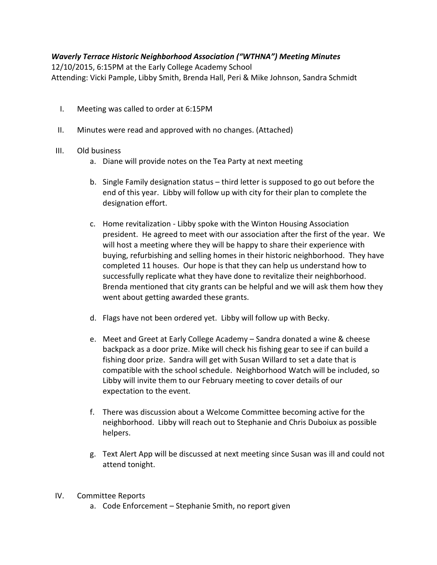## Waverly Terrace Historic Neighborhood Association ("WTHNA") Meeting Minutes

12/10/2015, 6:15PM at the Early College Academy School Attending: Vicki Pample, Libby Smith, Brenda Hall, Peri & Mike Johnson, Sandra Schmidt

- I. Meeting was called to order at 6:15PM
- II. Minutes were read and approved with no changes. (Attached)

## III. Old business

- a. Diane will provide notes on the Tea Party at next meeting
- b. Single Family designation status third letter is supposed to go out before the end of this year. Libby will follow up with city for their plan to complete the designation effort.
- c. Home revitalization Libby spoke with the Winton Housing Association president. He agreed to meet with our association after the first of the year. We will host a meeting where they will be happy to share their experience with buying, refurbishing and selling homes in their historic neighborhood. They have completed 11 houses. Our hope is that they can help us understand how to successfully replicate what they have done to revitalize their neighborhood. Brenda mentioned that city grants can be helpful and we will ask them how they went about getting awarded these grants.
- d. Flags have not been ordered yet. Libby will follow up with Becky.
- e. Meet and Greet at Early College Academy Sandra donated a wine & cheese backpack as a door prize. Mike will check his fishing gear to see if can build a fishing door prize. Sandra will get with Susan Willard to set a date that is compatible with the school schedule. Neighborhood Watch will be included, so Libby will invite them to our February meeting to cover details of our expectation to the event.
- f. There was discussion about a Welcome Committee becoming active for the neighborhood. Libby will reach out to Stephanie and Chris Duboiux as possible helpers.
- g. Text Alert App will be discussed at next meeting since Susan was ill and could not attend tonight.

## IV. Committee Reports

a. Code Enforcement – Stephanie Smith, no report given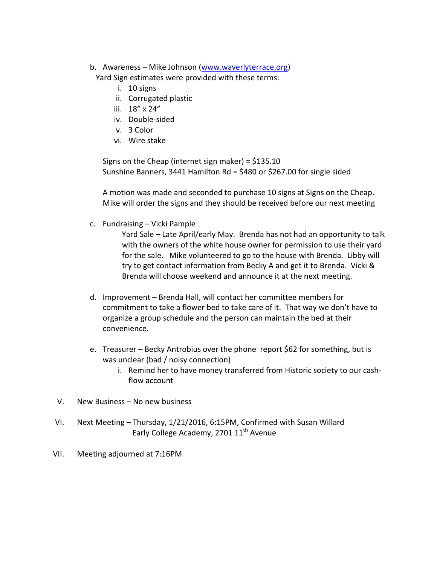b. Awareness – Mike Johnson (www.waverlyterrace.org)

Yard Sign estimates were provided with these terms:

- i. 10 signs
- ii. Corrugated plastic
- iii. 18" x 24"
- iv. Double-sided
- v. 3 Color
- vi. Wire stake

Signs on the Cheap (internet sign maker) = \$135.10 Sunshine Banners, 3441 Hamilton Rd = \$480 or \$267.00 for single sided

A motion was made and seconded to purchase 10 signs at Signs on the Cheap. Mike will order the signs and they should be received before our next meeting

c. Fundraising – Vicki Pample

Yard Sale – Late April/early May. Brenda has not had an opportunity to talk with the owners of the white house owner for permission to use their yard for the sale. Mike volunteered to go to the house with Brenda. Libby will try to get contact information from Becky A and get it to Brenda. Vicki & Brenda will choose weekend and announce it at the next meeting.

- d. Improvement Brenda Hall, will contact her committee members for commitment to take a flower bed to take care of it. That way we don't have to organize a group schedule and the person can maintain the bed at their convenience.
- e. Treasurer Becky Antrobius over the phone report \$62 for something, but is was unclear (bad / noisy connection)
	- i. Remind her to have money transferred from Historic society to our cashflow account
- V. New Business No new business
- VI. Next Meeting Thursday, 1/21/2016, 6:15PM, Confirmed with Susan Willard Early College Academy, 2701 11<sup>th</sup> Avenue
- VII. Meeting adjourned at 7:16PM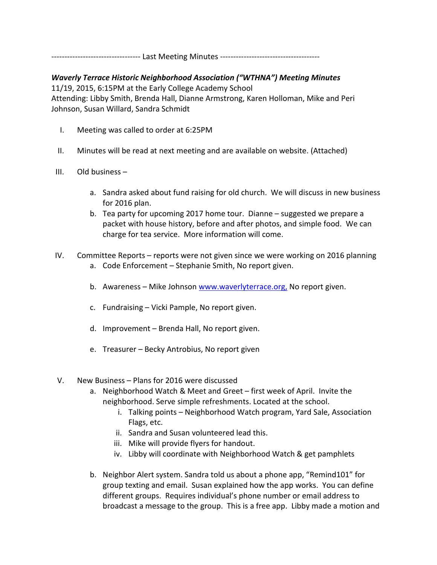---------------------------------- Last Meeting Minutes --------------------------------------

Waverly Terrace Historic Neighborhood Association ("WTHNA") Meeting Minutes 11/19, 2015, 6:15PM at the Early College Academy School Attending: Libby Smith, Brenda Hall, Dianne Armstrong, Karen Holloman, Mike and Peri Johnson, Susan Willard, Sandra Schmidt

- I. Meeting was called to order at 6:25PM
- II. Minutes will be read at next meeting and are available on website. (Attached)
- III. Old business
	- a. Sandra asked about fund raising for old church. We will discuss in new business for 2016 plan.
	- b. Tea party for upcoming 2017 home tour. Dianne suggested we prepare a packet with house history, before and after photos, and simple food. We can charge for tea service. More information will come.
- IV. Committee Reports reports were not given since we were working on 2016 planning a. Code Enforcement – Stephanie Smith, No report given.
	- b. Awareness Mike Johnson www.waverlyterrace.org, No report given.
	- c. Fundraising Vicki Pample, No report given.
	- d. Improvement Brenda Hall, No report given.
	- e. Treasurer Becky Antrobius, No report given
- V. New Business Plans for 2016 were discussed
	- a. Neighborhood Watch & Meet and Greet first week of April. Invite the neighborhood. Serve simple refreshments. Located at the school.
		- i. Talking points Neighborhood Watch program, Yard Sale, Association Flags, etc.
		- ii. Sandra and Susan volunteered lead this.
		- iii. Mike will provide flyers for handout.
		- iv. Libby will coordinate with Neighborhood Watch & get pamphlets
	- b. Neighbor Alert system. Sandra told us about a phone app, "Remind101" for group texting and email. Susan explained how the app works. You can define different groups. Requires individual's phone number or email address to broadcast a message to the group. This is a free app. Libby made a motion and